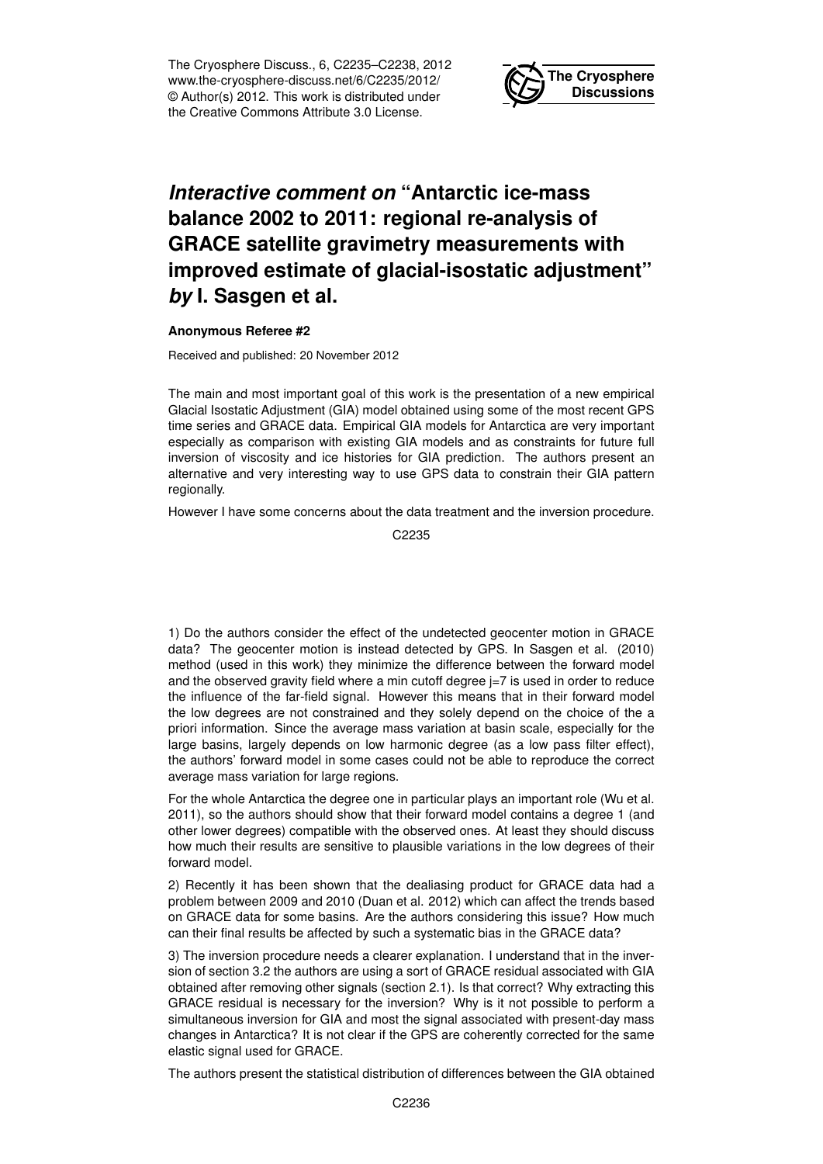The Cryosphere Discuss., 6, C2235–C2238, 2012 www.the-cryosphere-discuss.net/6/C2235/2012/ © Author(s) 2012. This work is distributed under the Creative Commons Attribute 3.0 License.



## *Interactive comment on* **"Antarctic ice-mass balance 2002 to 2011: regional re-analysis of GRACE satellite gravimetry measurements with improved estimate of glacial-isostatic adjustment"** *by* **I. Sasgen et al.**

## **Anonymous Referee #2**

Received and published: 20 November 2012

The main and most important goal of this work is the presentation of a new empirical Glacial Isostatic Adjustment (GIA) model obtained using some of the most recent GPS time series and GRACE data. Empirical GIA models for Antarctica are very important especially as comparison with existing GIA models and as constraints for future full inversion of viscosity and ice histories for GIA prediction. The authors present an alternative and very interesting way to use GPS data to constrain their GIA pattern regionally.

However I have some concerns about the data treatment and the inversion procedure.

C<sub>2235</sub>

1) Do the authors consider the effect of the undetected geocenter motion in GRACE data? The geocenter motion is instead detected by GPS. In Sasgen et al. (2010) method (used in this work) they minimize the difference between the forward model and the observed gravity field where a min cutoff degree  $=7$  is used in order to reduce the influence of the far-field signal. However this means that in their forward model the low degrees are not constrained and they solely depend on the choice of the a priori information. Since the average mass variation at basin scale, especially for the large basins, largely depends on low harmonic degree (as a low pass filter effect), the authors' forward model in some cases could not be able to reproduce the correct average mass variation for large regions.

For the whole Antarctica the degree one in particular plays an important role (Wu et al. 2011), so the authors should show that their forward model contains a degree 1 (and other lower degrees) compatible with the observed ones. At least they should discuss how much their results are sensitive to plausible variations in the low degrees of their forward model.

2) Recently it has been shown that the dealiasing product for GRACE data had a problem between 2009 and 2010 (Duan et al. 2012) which can affect the trends based on GRACE data for some basins. Are the authors considering this issue? How much can their final results be affected by such a systematic bias in the GRACE data?

3) The inversion procedure needs a clearer explanation. I understand that in the inversion of section 3.2 the authors are using a sort of GRACE residual associated with GIA obtained after removing other signals (section 2.1). Is that correct? Why extracting this GRACE residual is necessary for the inversion? Why is it not possible to perform a simultaneous inversion for GIA and most the signal associated with present-day mass changes in Antarctica? It is not clear if the GPS are coherently corrected for the same elastic signal used for GRACE.

The authors present the statistical distribution of differences between the GIA obtained